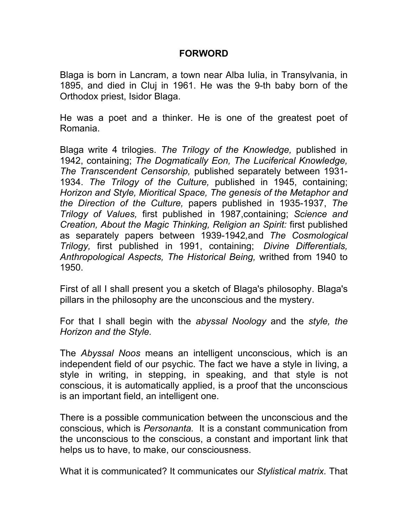## **FORWORD**

Blaga is born in Lancram, a town near Alba Iulia, in Transylvania, in 1895, and died in Cluj in 1961. He was the 9-th baby born of the Orthodox priest, Isidor Blaga.

He was a poet and a thinker. He is one of the greatest poet of Romania.

Blaga write 4 trilogies. *The Trilogy of the Knowledge,* published in 1942, containing; *The Dogmatically Eon, The Luciferical Knowledge, The Transcendent Censorship,* published separately between 1931- 1934. *The Trilogy of the Culture,* published in 1945, containing; *Horizon and Style, Mioritical Space, The genesis of the Metaphor and the Direction of the Culture,* papers published in 1935-1937, *The Trilogy of Values,* first published in 1987,containing; *Science and Creation, About the Magic Thinking, Religion an Spirit:* first published as separately papers between 1939-1942*,*and *The Cosmological Trilogy,* first published in 1991, containing; *Divine Differentials, Anthropological Aspects, The Historical Being,* writhed from 1940 to 1950.

First of all I shall present you a sketch of Blaga's philosophy. Blaga's pillars in the philosophy are the unconscious and the mystery.

For that I shall begin with the *abyssal Noology* and the *style, the Horizon and the Style.*

The *Abyssal Noos* means an intelligent unconscious, which is an independent field of our psychic. The fact we have a style in living, a style in writing, in stepping, in speaking, and that style is not conscious, it is automatically applied, is a proof that the unconscious is an important field, an intelligent one.

There is a possible communication between the unconscious and the conscious, which is *Personanta.* It is a constant communication from the unconscious to the conscious, a constant and important link that helps us to have, to make, our consciousness.

What it is communicated? It communicates our *Stylistical matrix.* That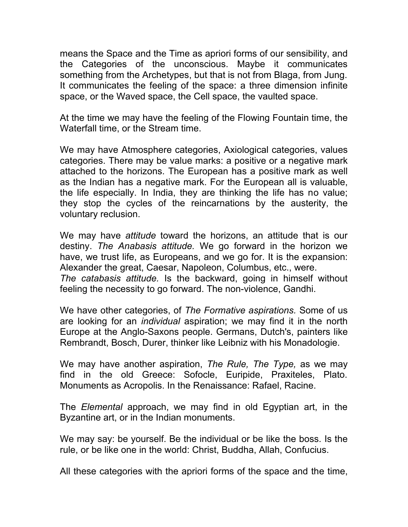means the Space and the Time as apriori forms of our sensibility, and the Categories of the unconscious. Maybe it communicates something from the Archetypes, but that is not from Blaga, from Jung. It communicates the feeling of the space: a three dimension infinite space, or the Waved space, the Cell space, the vaulted space.

At the time we may have the feeling of the Flowing Fountain time, the Waterfall time, or the Stream time.

We may have Atmosphere categories, Axiological categories, values categories. There may be value marks: a positive or a negative mark attached to the horizons. The European has a positive mark as well as the Indian has a negative mark. For the European all is valuable, the life especially. In India, they are thinking the life has no value; they stop the cycles of the reincarnations by the austerity, the voluntary reclusion.

We may have *attitude* toward the horizons, an attitude that is our destiny. *The Anabasis attitude.* We go forward in the horizon we have, we trust life, as Europeans, and we go for. It is the expansion: Alexander the great, Caesar, Napoleon, Columbus, etc., were. *The catabasis attitude.* Is the backward, going in himself without feeling the necessity to go forward. The non-violence, Gandhi.

We have other categories, of *The Formative aspirations.* Some of us are looking for an *individual* aspiration; we may find it in the north Europe at the Anglo-Saxons people. Germans, Dutch's, painters like Rembrandt, Bosch, Durer, thinker like Leibniz with his Monadologie.

We may have another aspiration, *The Rule, The Type,* as we may find in the old Greece: Sofocle, Euripide, Praxiteles, Plato. Monuments as Acropolis. In the Renaissance: Rafael, Racine.

The *Elemental* approach, we may find in old Egyptian art, in the Byzantine art, or in the Indian monuments.

We may say: be yourself. Be the individual or be like the boss. Is the rule, or be like one in the world: Christ, Buddha, Allah, Confucius.

All these categories with the apriori forms of the space and the time,